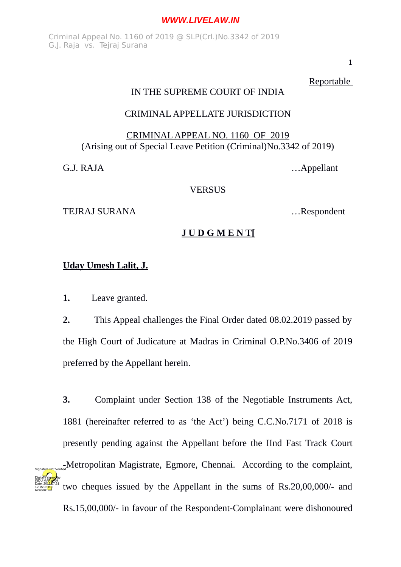Criminal Appeal No. 1160 of 2019 @ SLP(Crl.)No.3342 of 2019 G.J. Raja vs. Tejraj Surana

1

Reportable

## IN THE SUPREME COURT OF INDIA

# CRIMINAL APPELLATE JURISDICTION

# CRIMINAL APPEAL NO. 1160 OF 2019 (Arising out of Special Leave Petition (Criminal)No.3342 of 2019)

G.J. RAJA …Appellant

**VERSUS** 

TEJRAJ SURANA …Respondent

# **J U D G M E N T[**

## **Uday Umesh Lalit, J.**

**1.** Leave granted.

12:15:03 IST Reason:

**2.** This Appeal challenges the Final Order dated 08.02.2019 passed by the High Court of Judicature at Madras in Criminal O.P.No.3406 of 2019 preferred by the Appellant herein.

**3.** Complaint under Section 138 of the Negotiable Instruments Act, 1881 (hereinafter referred to as 'the Act') being C.C.No.7171 of 2018 is presently pending against the Appellant before the IInd Fast Track Court -Metropolitan Magistrate, Egmore, Chennai. According to the complaint, two cheques issued by the Appellant in the sums of Rs.20,00,000/- and Digitally signed by INDU MARWAH Date: 2010.07.31 Signature Not Verified

Rs.15,00,000/- in favour of the Respondent-Complainant were dishonoured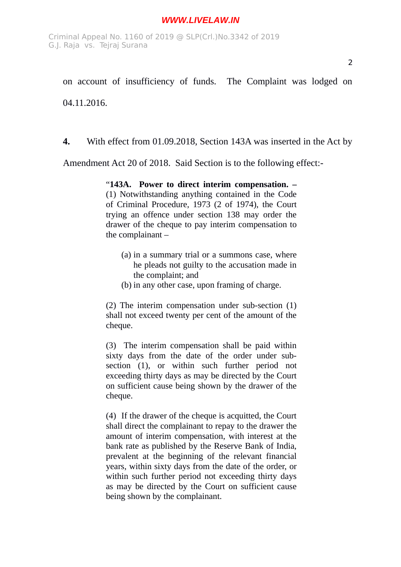on account of insufficiency of funds. The Complaint was lodged on 04.11.2016.

**4.** With effect from 01.09.2018, Section 143A was inserted in the Act by

Amendment Act 20 of 2018. Said Section is to the following effect:-

"**143A. Power to direct interim compensation. –**

(1) Notwithstanding anything contained in the Code of Criminal Procedure, 1973 (2 of 1974), the Court trying an offence under section 138 may order the drawer of the cheque to pay interim compensation to the complainant –

- (a) in a summary trial or a summons case, where he pleads not guilty to the accusation made in the complaint; and
- (b) in any other case, upon framing of charge.

(2) The interim compensation under sub-section (1) shall not exceed twenty per cent of the amount of the cheque.

(3) The interim compensation shall be paid within sixty days from the date of the order under subsection (1), or within such further period not exceeding thirty days as may be directed by the Court on sufficient cause being shown by the drawer of the cheque.

(4) If the drawer of the cheque is acquitted, the Court shall direct the complainant to repay to the drawer the amount of interim compensation, with interest at the bank rate as published by the Reserve Bank of India, prevalent at the beginning of the relevant financial years, within sixty days from the date of the order, or within such further period not exceeding thirty days as may be directed by the Court on sufficient cause being shown by the complainant.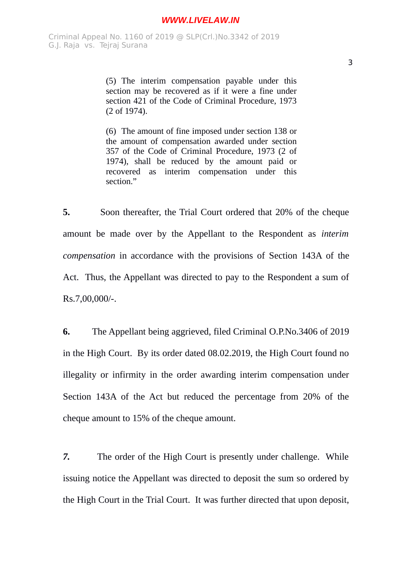(5) The interim compensation payable under this section may be recovered as if it were a fine under section 421 of the Code of Criminal Procedure, 1973 (2 of 1974).

(6) The amount of fine imposed under section 138 or the amount of compensation awarded under section 357 of the Code of Criminal Procedure, 1973 (2 of 1974), shall be reduced by the amount paid or recovered as interim compensation under this section<sup>"</sup>

**5.** Soon thereafter, the Trial Court ordered that 20% of the cheque amount be made over by the Appellant to the Respondent as *interim compensation* in accordance with the provisions of Section 143A of the Act. Thus, the Appellant was directed to pay to the Respondent a sum of Rs.7,00,000/-.

**6.** The Appellant being aggrieved, filed Criminal O.P.No.3406 of 2019 in the High Court. By its order dated 08.02.2019, the High Court found no illegality or infirmity in the order awarding interim compensation under Section 143A of the Act but reduced the percentage from 20% of the cheque amount to 15% of the cheque amount.

*7.* The order of the High Court is presently under challenge. While issuing notice the Appellant was directed to deposit the sum so ordered by the High Court in the Trial Court. It was further directed that upon deposit,

3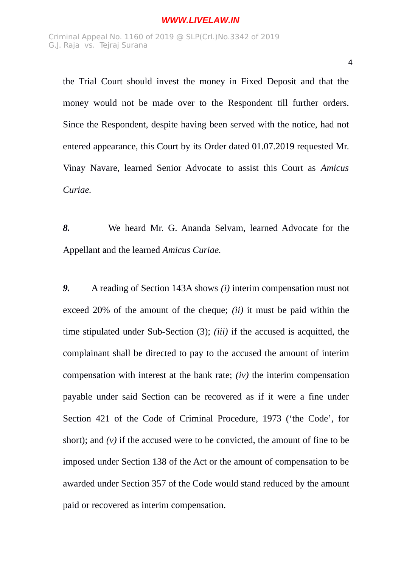the Trial Court should invest the money in Fixed Deposit and that the money would not be made over to the Respondent till further orders. Since the Respondent, despite having been served with the notice, had not entered appearance, this Court by its Order dated 01.07.2019 requested Mr. Vinay Navare, learned Senior Advocate to assist this Court as *Amicus Curiae.*

*8.* We heard Mr. G. Ananda Selvam, learned Advocate for the Appellant and the learned *Amicus Curiae.*

*9.* A reading of Section 143A shows *(i)* interim compensation must not exceed 20% of the amount of the cheque; *(ii)* it must be paid within the time stipulated under Sub-Section (3); *(iii)* if the accused is acquitted, the complainant shall be directed to pay to the accused the amount of interim compensation with interest at the bank rate; *(iv)* the interim compensation payable under said Section can be recovered as if it were a fine under Section 421 of the Code of Criminal Procedure, 1973 ('the Code', for short); and *(v)* if the accused were to be convicted, the amount of fine to be imposed under Section 138 of the Act or the amount of compensation to be awarded under Section 357 of the Code would stand reduced by the amount paid or recovered as interim compensation.

4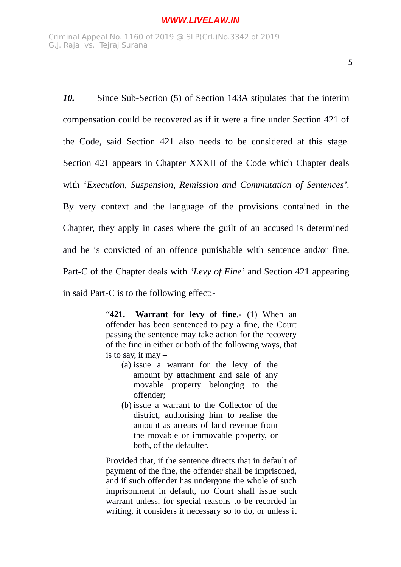*10.* Since Sub-Section (5) of Section 143A stipulates that the interim compensation could be recovered as if it were a fine under Section 421 of the Code, said Section 421 also needs to be considered at this stage. Section 421 appears in Chapter XXXII of the Code which Chapter deals with '*Execution, Suspension, Remission and Commutation of Sentences'.* By very context and the language of the provisions contained in the Chapter, they apply in cases where the guilt of an accused is determined and he is convicted of an offence punishable with sentence and/or fine. Part-C of the Chapter deals with *'Levy of Fine'* and Section 421 appearing in said Part-C is to the following effect:-

> "**421. Warrant for levy of fine.-** (1) When an offender has been sentenced to pay a fine, the Court passing the sentence may take action for the recovery of the fine in either or both of the following ways, that is to say, it may  $-$

- (a) issue a warrant for the levy of the amount by attachment and sale of any movable property belonging to the offender;
- (b) issue a warrant to the Collector of the district, authorising him to realise the amount as arrears of land revenue from the movable or immovable property, or both, of the defaulter.

Provided that, if the sentence directs that in default of payment of the fine, the offender shall be imprisoned, and if such offender has undergone the whole of such imprisonment in default, no Court shall issue such warrant unless, for special reasons to be recorded in writing, it considers it necessary so to do, or unless it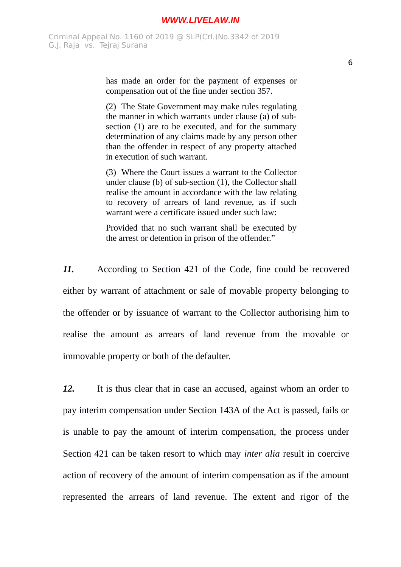has made an order for the payment of expenses or compensation out of the fine under section 357.

(2) The State Government may make rules regulating the manner in which warrants under clause (a) of subsection (1) are to be executed, and for the summary determination of any claims made by any person other than the offender in respect of any property attached in execution of such warrant.

(3) Where the Court issues a warrant to the Collector under clause (b) of sub-section (1), the Collector shall realise the amount in accordance with the law relating to recovery of arrears of land revenue, as if such warrant were a certificate issued under such law:

Provided that no such warrant shall be executed by the arrest or detention in prison of the offender."

*11.* According to Section 421 of the Code, fine could be recovered either by warrant of attachment or sale of movable property belonging to the offender or by issuance of warrant to the Collector authorising him to realise the amount as arrears of land revenue from the movable or immovable property or both of the defaulter.

*12.* It is thus clear that in case an accused, against whom an order to pay interim compensation under Section 143A of the Act is passed, fails or is unable to pay the amount of interim compensation, the process under Section 421 can be taken resort to which may *inter alia* result in coercive action of recovery of the amount of interim compensation as if the amount represented the arrears of land revenue. The extent and rigor of the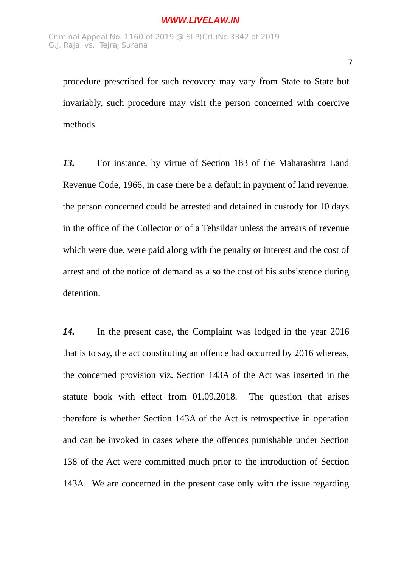procedure prescribed for such recovery may vary from State to State but invariably, such procedure may visit the person concerned with coercive methods.

*13.* For instance, by virtue of Section 183 of the Maharashtra Land Revenue Code, 1966, in case there be a default in payment of land revenue, the person concerned could be arrested and detained in custody for 10 days in the office of the Collector or of a Tehsildar unless the arrears of revenue which were due, were paid along with the penalty or interest and the cost of arrest and of the notice of demand as also the cost of his subsistence during detention.

*14.* In the present case, the Complaint was lodged in the year 2016 that is to say, the act constituting an offence had occurred by 2016 whereas, the concerned provision viz. Section 143A of the Act was inserted in the statute book with effect from 01.09.2018. The question that arises therefore is whether Section 143A of the Act is retrospective in operation and can be invoked in cases where the offences punishable under Section 138 of the Act were committed much prior to the introduction of Section 143A. We are concerned in the present case only with the issue regarding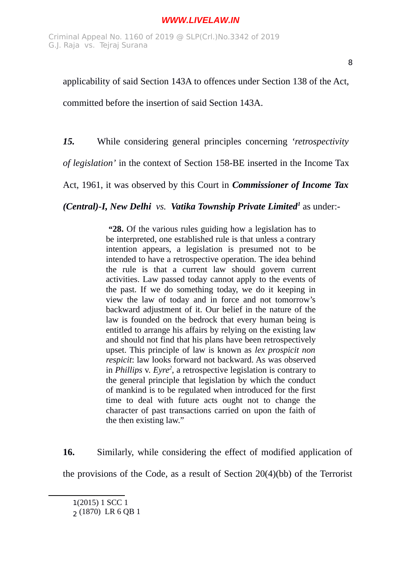applicability of said Section 143A to offences under Section 138 of the Act,

committed before the insertion of said Section 143A.

*15.* While considering general principles concerning *'retrospectivity*

*of legislation'* in the context of Section 158-BE inserted in the Income Tax

Act, 1961, it was observed by this Court in *Commissioner of Income Tax*

*(Central)-I, New Delhi vs. Vatika Township Private Limited[1](#page-7-0)* as under:-

 **"28.** Of the various rules guiding how a legislation has to be interpreted, one established rule is that unless a contrary intention appears, a legislation is presumed not to be intended to have a retrospective operation. The idea behind the rule is that a current law should govern current activities. Law passed today cannot apply to the events of the past. If we do something today, we do it keeping in view the law of today and in force and not tomorrow's backward adjustment of it. Our belief in the nature of the law is founded on the bedrock that every human being is entitled to arrange his affairs by relying on the existing law and should not find that his plans have been retrospectively upset. This principle of law is known as *lex prospicit non respicit*: law looks forward not backward. As was observed in *Phillips* v. *Eyre[2](#page-7-1)* , a retrospective legislation is contrary to the general principle that legislation by which the conduct of mankind is to be regulated when introduced for the first time to deal with future acts ought not to change the character of past transactions carried on upon the faith of the then existing law."

**16.** Similarly, while considering the effect of modified application of the provisions of the Code, as a result of Section 20(4)(bb) of the Terrorist

<span id="page-7-0"></span><sup>1</sup>(2015) 1 SCC 1

<span id="page-7-1"></span><sup>2</sup> (1870) LR 6 QB 1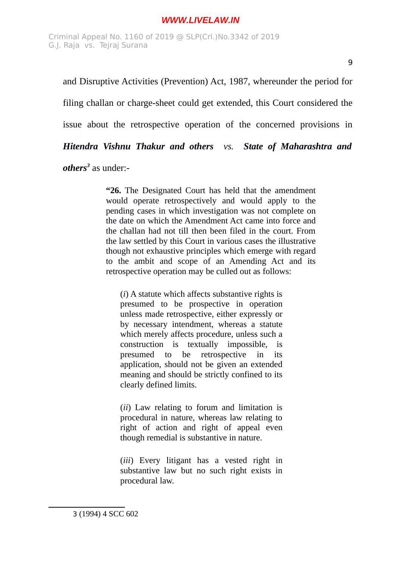and Disruptive Activities (Prevention) Act, 1987, whereunder the period for filing challan or charge-sheet could get extended, this Court considered the issue about the retrospective operation of the concerned provisions in *Hitendra Vishnu Thakur and others vs. State of Maharashtra and*

*others[3](#page-8-0)* as under:-

**"26.** The Designated Court has held that the amendment would operate retrospectively and would apply to the pending cases in which investigation was not complete on the date on which the Amendment Act came into force and the challan had not till then been filed in the court. From the law settled by this Court in various cases the illustrative though not exhaustive principles which emerge with regard to the ambit and scope of an Amending Act and its retrospective operation may be culled out as follows:

(*i*) A statute which affects substantive rights is presumed to be prospective in operation unless made retrospective, either expressly or by necessary intendment, whereas a statute which merely affects procedure, unless such a construction is textually impossible, is presumed to be retrospective in its application, should not be given an extended meaning and should be strictly confined to its clearly defined limits.

(*ii*) Law relating to forum and limitation is procedural in nature, whereas law relating to right of action and right of appeal even though remedial is substantive in nature.

<span id="page-8-0"></span>(*iii*) Every litigant has a vested right in substantive law but no such right exists in procedural law.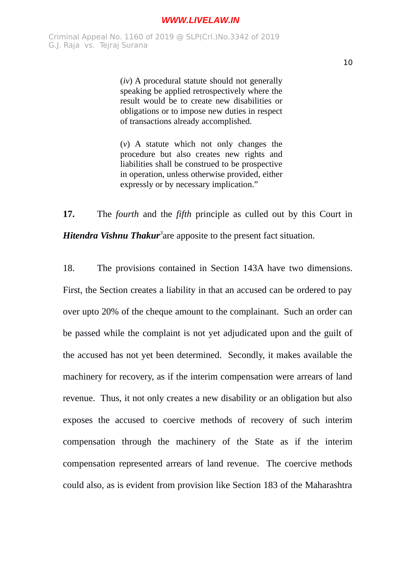Criminal Appeal No. 1160 of 2019 @ SLP(Crl.)No.3342 of 2019 G.J. Raja vs. Tejraj Surana

> (*iv*) A procedural statute should not generally speaking be applied retrospectively where the result would be to create new disabilities or obligations or to impose new duties in respect of transactions already accomplished.

> (*v*) A statute which not only changes the procedure but also creates new rights and liabilities shall be construed to be prospective in operation, unless otherwise provided, either expressly or by necessary implication."

**17.** The *fourth* and the *fifth* principle as culled out by this Court in *Hitendra Vishnu Thakur<sup>3</sup>* are apposite to the present fact situation.

18. The provisions contained in Section 143A have two dimensions. First, the Section creates a liability in that an accused can be ordered to pay over upto 20% of the cheque amount to the complainant. Such an order can be passed while the complaint is not yet adjudicated upon and the guilt of the accused has not yet been determined. Secondly, it makes available the machinery for recovery, as if the interim compensation were arrears of land revenue. Thus, it not only creates a new disability or an obligation but also exposes the accused to coercive methods of recovery of such interim compensation through the machinery of the State as if the interim compensation represented arrears of land revenue. The coercive methods could also, as is evident from provision like Section 183 of the Maharashtra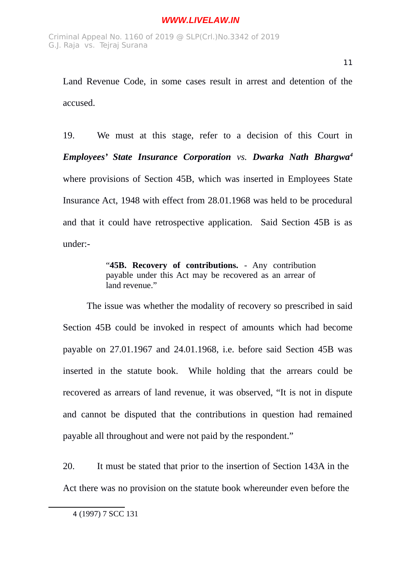19. We must at this stage, refer to a decision of this Court in *Employees' State Insurance Corporation vs. Dwarka Nath Bhargwa[4](#page-10-0)* where provisions of Section 45B, which was inserted in Employees State Insurance Act, 1948 with effect from 28.01.1968 was held to be procedural and that it could have retrospective application. Said Section 45B is as under:-

> "**45B. Recovery of contributions.** - Any contribution payable under this Act may be recovered as an arrear of land revenue."

The issue was whether the modality of recovery so prescribed in said Section 45B could be invoked in respect of amounts which had become payable on 27.01.1967 and 24.01.1968, i.e. before said Section 45B was inserted in the statute book. While holding that the arrears could be recovered as arrears of land revenue, it was observed, "It is not in dispute and cannot be disputed that the contributions in question had remained payable all throughout and were not paid by the respondent."

20. It must be stated that prior to the insertion of Section 143A in the Act there was no provision on the statute book whereunder even before the

<span id="page-10-0"></span><sup>4</sup> (1997) 7 SCC 131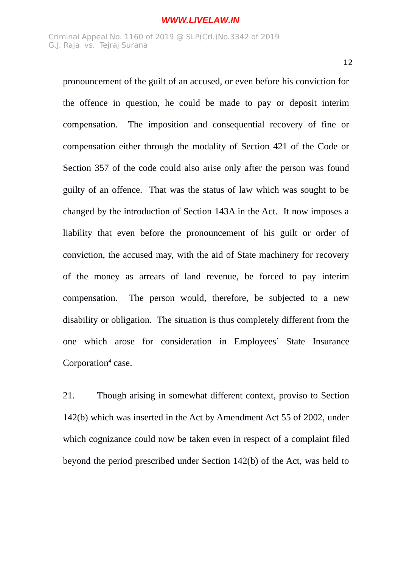pronouncement of the guilt of an accused, or even before his conviction for the offence in question, he could be made to pay or deposit interim compensation. The imposition and consequential recovery of fine or compensation either through the modality of Section 421 of the Code or Section 357 of the code could also arise only after the person was found guilty of an offence. That was the status of law which was sought to be changed by the introduction of Section 143A in the Act. It now imposes a liability that even before the pronouncement of his guilt or order of conviction, the accused may, with the aid of State machinery for recovery of the money as arrears of land revenue, be forced to pay interim compensation. The person would, therefore, be subjected to a new disability or obligation. The situation is thus completely different from the one which arose for consideration in Employees' State Insurance Corporation<sup>4</sup> case.

21. Though arising in somewhat different context, proviso to Section 142(b) which was inserted in the Act by Amendment Act 55 of 2002, under which cognizance could now be taken even in respect of a complaint filed beyond the period prescribed under Section 142(b) of the Act, was held to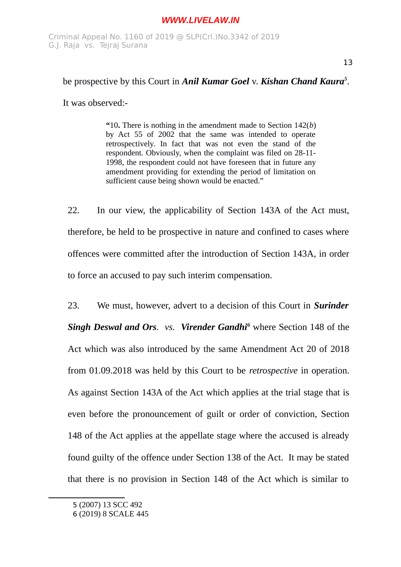## be prospective by this Court in *Anil Kumar Goel* v. *Kishan Chand Kaura[5](#page-12-0)* .

It was observed:-

**"**10**.** There is nothing in the amendment made to Section 142(*b*) by Act 55 of 2002 that the same was intended to operate retrospectively. In fact that was not even the stand of the respondent. Obviously, when the complaint was filed on 28-11- 1998, the respondent could not have foreseen that in future any amendment providing for extending the period of limitation on sufficient cause being shown would be enacted."

22. In our view, the applicability of Section 143A of the Act must, therefore, be held to be prospective in nature and confined to cases where offences were committed after the introduction of Section 143A, in order to force an accused to pay such interim compensation.

23. We must, however, advert to a decision of this Court in *Surinder* Singh Deswal and Ors. vs. Virender Gandhi<sup>[6](#page-12-1)</sup> where Section 148 of the Act which was also introduced by the same Amendment Act 20 of 2018 from 01.09.2018 was held by this Court to be *retrospective* in operation. As against Section 143A of the Act which applies at the trial stage that is even before the pronouncement of guilt or order of conviction, Section 148 of the Act applies at the appellate stage where the accused is already found guilty of the offence under Section 138 of the Act. It may be stated that there is no provision in Section 148 of the Act which is similar to

<span id="page-12-0"></span><sup>5</sup> (2007) 13 SCC 492

<span id="page-12-1"></span><sup>6</sup> (2019) 8 SCALE 445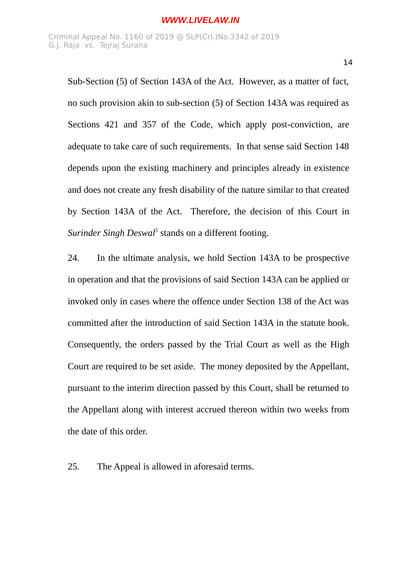Sub-Section (5) of Section 143A of the Act. However, as a matter of fact, no such provision akin to sub-section (5) of Section 143A was required as Sections 421 and 357 of the Code, which apply post-conviction, are adequate to take care of such requirements. In that sense said Section 148 depends upon the existing machinery and principles already in existence and does not create any fresh disability of the nature similar to that created by Section 143A of the Act. Therefore, the decision of this Court in Surinder Singh Deswal<sup>5</sup> stands on a different footing.

24. In the ultimate analysis, we hold Section 143A to be prospective in operation and that the provisions of said Section 143A can be applied or invoked only in cases where the offence under Section 138 of the Act was committed after the introduction of said Section 143A in the statute book. Consequently, the orders passed by the Trial Court as well as the High Court are required to be set aside. The money deposited by the Appellant, pursuant to the interim direction passed by this Court, shall be returned to the Appellant along with interest accrued thereon within two weeks from the date of this order.

25. The Appeal is allowed in aforesaid terms.